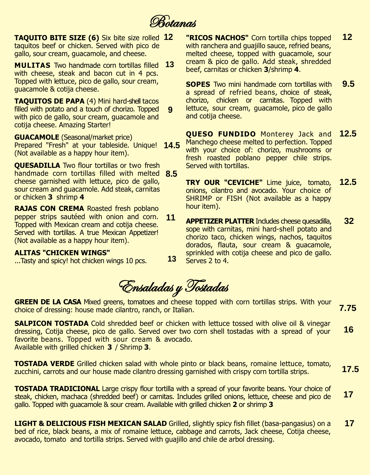**Botanas** 

**TAQUITO BITE SIZE (6)** Six bite size rolled **12** taquitos beef or chicken. Served with pico de gallo, sour cream, guacamole, and cheese.

**MULITAS** Two handmade corn tortillas filled  **13** with cheese, steak and bacon cut in 4 pcs. Topped with lettuce, pico de gallo, sour cream, guacamole & cotija cheese.

**TAQUITOS DE PAPA** (4) Mini hard-shell tacos filled with potato and a touch of chorizo. Topped with pico de gallo, sour cream, guacamole and cotija cheese. Amazing Starter!  **9**

**GUACAMOLE** (Seasonal/market price) Prepared "Fresh" at your tableside. Unique! **14.5** (Not available as a happy hour item).

**QUESADILLA** Two flour tortillas or two fresh handmade corn tortillas filled with melted  **8.5** cheese garnished with lettuce, pico de gallo, sour cream and guacamole. Add steak, carnitas or chicken **3** shrimp **4**

**RAJAS CON CREMA** Roasted fresh poblano pepper strips sautéed with onion and corn. Topped with Mexican cream and cotija cheese. Served with tortillas. A true Mexican Appetizer! (Not available as a happy hour item). **11**

# **ALITAS "CHICKEN WINGS"**

...Tasty and spicy! hot chicken wings 10 pcs.

**"RICOS NACHOS"** Corn tortilla chips topped with ranchera and quajillo sauce, refried beans, melted cheese, topped with guacamole, sour cream & pico de gallo. Add steak, shredded beef, carnitas or chicken **3**/shrimp **4**. **12**

**SOPES** Two mini handmade corn tortillas with a spread of refried beans, choice of steak, chorizo, chicken or carnitas. Topped with lettuce, sour cream, guacamole, pico de gallo and cotija cheese. **9.5**

**QUESO FUNDIDO** Monterey Jack and Manchego cheese melted to perfection. Topped with your choice of: chorizo, mushrooms or fresh roasted poblano pepper chile strips. Served with tortillas. **12.5**

**TRY OUR "CEVICHE"** Lime juice, tomato, onions, cilantro and avocado. Your choice of SHRIMP or FISH (Not available as a happy hour item). **12.5**

**APPETIZER PLATTER** Includes cheese quesadilla, sope with carnitas, mini hard-shell potato and chorizo taco, chicken wings, nachos, taquitos dorados, flauta, sour cream & guacamole, sprinkled with cotija cheese and pico de gallo. Serves 2 to 4. **32**

Ensaladas y Tostadas

 **13**

**GREEN DE LA CASA** Mixed greens, tomatoes and cheese topped with corn tortillas strips. With your choice of dressing: house made cilantro, ranch, or Italian. **7.75**

**SALPICON TOSTADA** Cold shredded beef or chicken with lettuce tossed with olive oil & vinegar dressing, Cotija cheese, pico de gallo. Served over two corn shell tostadas with a spread of your favorite beans. Topped with sour cream & avocado. Available with grilled chicken **3** / Shrimp **3**.  **16**

**TOSTADA VERDE** Grilled chicken salad with whole pinto or black beans, romaine lettuce, tomato, zucchini, carrots and our house made cilantro dressing garnished with crispy corn tortilla strips.  **17.5**

**TOSTADA TRADICIONAL** Large crispy flour tortilla with a spread of your favorite beans. Your choice of steak, chicken, machaca (shredded beef) or carnitas. Includes grilled onions, lettuce, cheese and pico de gallo. Topped with guacamole & sour cream. Available with grilled chicken **2** or shrimp **3 17**

**LIGHT & DELICIOUS FISH MEXICAN SALAD** Grilled, slightly spicy fish fillet (basa-pangasius) on a bed of rice, black beans, a mix of romaine lettuce, cabbage and carrots, Jack cheese, Cotija cheese, avocado, tomato and tortilla strips. Served with guajillo and chile de arbol dressing. **17**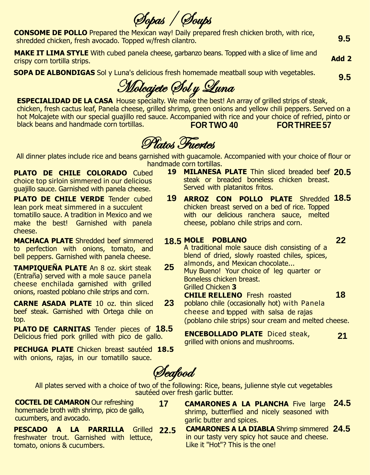Sopas / Soups

**CONSOME DE POLLO** Prepared the Mexican way! Daily prepared fresh chicken broth, with rice, shredded chicken, fresh avocado. Topped w/fresh cilantro.

**MAKE IT LIMA STYLE** With cubed panela cheese, garbanzo beans. Topped with a slice of lime and crispy corn tortilla strips.

**SOPA DE ALBONDIGAS** Sol y Luna's delicious fresh homemade meatball soup with vegetables.

**9.5**

**9.5**

**Add 2**

Molcajete Sol y Luna

**ESPECIALIDAD DE LA CASA** House specialty. We make the best! An array of grilled strips of steak, chicken, fresh cactus leaf, Panela cheese, grilled shrimp, green onions and yellow chili peppers. Served on a hot Molcajete with our special guajillo red sauce. Accompanied with rice and your choice of refried, pinto or black beans and handmade corn tortillas. **FOR TWO 40 FORTHREE57**

Platos Fuertes

All dinner plates include rice and beans garnished with guacamole. Accompanied with your choice of flour or handmade corn tortillas.

**PLATO DE CHILE COLORADO** Cubed choice top sirloin simmered in our delicious guajillo sauce. Garnished with panela cheese.

**PLATO DE CHILE VERDE** Tender cubed **19** lean pork meat simmered in a succulent tomatillo sauce. A tradition in Mexico and we make the best! Garnished with panela cheese.

**MACHACA PLATE** Shredded beef simmered to perfection with onions, tomato, and bell peppers. Garnished with panela cheese.

**TAMPIQUEÑA PLATE** An 8 oz. skirt steak (Entraña) served with a mole sauce panela cheese enchilada garnished with grilled onions, roasted poblano chile strips and corn.

**CARNE ASADA PLATE** 10 oz. thin sliced beef steak. Garnished with Ortega chile on top.

**PLATO DE CARNITAS** Tender pieces of **18.5** Delicious fried pork grilled with pico de gallo.

**PECHUGA PLATE** Chicken breast sautéed **18.5** with onions, rajas, in our tomatillo sauce.

**19 MILANESA PLATE** Thin sliced breaded beef **20.5** steak or breaded boneless chicken breast. Served with platanitos fritos.

- **ARROZ CON POLLO PLATE** Shredded **18.5** chicken breast served on a bed of rice. Topped with our delicious ranchera sauce, melted cheese, poblano chile strips and corn.
- **18.5 MOLE POBLANO 22** A traditional mole sauce dish consisting of a blend of dried, slowly roasted chiles, spices, almonds, and Mexican chocolate... **<sup>25</sup>** Muy Bueno! Your choice of leg quarter or Boneless chicken breast.

Grilled Chicken **3**

**CHILE RELLENO** Fresh roasted **18 23** poblano chile (occasionally hot) with Panela cheese and topped with salsa de rajas (poblano chile strips) sour cream and melted cheese.

> **ENCEBOLLADO PLATE** Diced steak, grilled with onions and mushrooms.  **21**

Seafood

**17**

All plates served with a choice of two of the following: Rice, beans, julienne style cut vegetables sautéed over fresh garlic butter.

**COCTEL DE CAMARON** Our refreshing homemade broth with shrimp, pico de gallo, cucumbers, and avocado.

**PESCADO A LA PARRILLA** freshwater trout. Garnished with lettuce, tomato, onions & cucumbers. **22.5**

**CAMARONES A LA PLANCHA** Five large **24.5** shrimp, butterflied and nicely seasoned with garlic butter and spices.

**CAMARONES A LA DIABLA** Shrimp simmered **24.5**in our tasty very spicy hot sauce and cheese. Like it "Hot"? This is the one!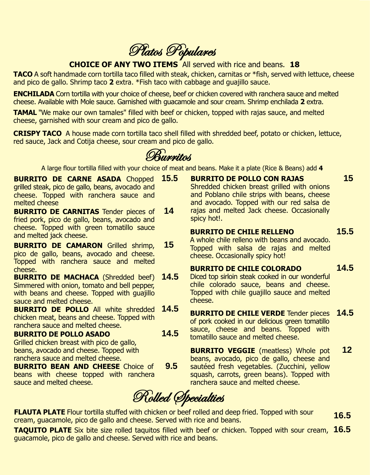Platos Populares

# **CHOICE OF ANY TWO ITEMS** All served with rice and beans. **18**

**TACO** A soft handmade corn tortilla taco filled with steak, chicken, carnitas or \*fish, served with lettuce, cheese and pico de gallo. Shrimp taco **2** extra. \*Fish taco with cabbage and guajillo sauce.

**ENCHILADA** Corn tortilla with your choice of cheese, beef or chicken covered with ranchera sauce and melted cheese. Available with Mole sauce. Garnished with guacamole and sour cream. Shrimp enchilada **2** extra.

**TAMAL** "We make our own tamales" filled with beef or chicken, topped with rajas sauce, and melted cheese, garnished with sour cream and pico de gallo.

**CRISPY TACO** A house made corn tortilla taco shell filled with shredded beef, potato or chicken, lettuce, red sauce, Jack and Cotija cheese, sour cream and pico de gallo.

Burritos

A large flour tortilla filled with your choice of meat and beans. Make it a plate (Rice & Beans) add **4**

- **BURRITO DE CARNE ASADA** Chopped grilled steak, pico de gallo, beans, avocado and cheese. Topped with ranchera sauce and melted cheese **15.5**
- **BURRITO DE CARNITAS** Tender pieces of fried pork, pico de gallo, beans, avocado and cheese. Topped with green tomatillo sauce and melted jack cheese. **14**
- **BURRITO DE CAMARON** Grilled shrimp, pico de gallo, beans, avocado and cheese. Topped with ranchera sauce and melted cheese. **15**
- **BURRITO DE MACHACA** (Shredded beef) Simmered with onion, tomato and bell pepper, with beans and cheese. Topped with quajillo sauce and melted cheese. **14.5**
- **BURRITO DE POLLO** All white shredded chicken meat, beans and cheese. Topped with ranchera sauce and melted cheese. **14.5 14.5**

### **BURRITO DE POLLO ASADO** Grilled chicken breast with pico de gallo, beans, avocado and cheese. Topped with

ranchera sauce and melted cheese.

- **BURRITO BEAN AND CHEESE** Choice of beans with cheese topped with ranchera sauce and melted cheese. **9.5**
- chile colorado sauce, beans and cheese. Topped with chile guajillo sauce and melted cheese. **BURRITO DE CHILE VERDE** Tender pieces

of pork cooked in our delicious green tomatillo sauce, cheese and beans. Topped with tomatillo sauce and melted cheese.

**BURRITO VEGGIE** (meatless) Whole pot beans, avocado, pico de gallo, cheese and sautéed fresh vegetables. (Zucchini, yellow squash, carrots, green beans). Topped with ranchera sauce and melted cheese. **12**

Rolled Specialties

**FLAUTA PLATE** Flour tortilla stuffed with chicken or beef rolled and deep fried. Topped with sour cream, guacamole, pico de gallo and cheese. Served with rice and beans. **16.5**

**TAQUITO PLATE** Six bite size rolled taquitos filled with beef or chicken. Topped with sour cream, **16.5** guacamole, pico de gallo and cheese. Served with rice and beans.

**BURRITO DE POLLO CON RAJAS** Shredded chicken breast grilled with onions and Poblano chile strips with beans, cheese and avocado. Topped with our red salsa de rajas and melted Jack cheese. Occasionally spicy hot!.

#### **BURRITO DE CHILE RELLENO 15.5**

A whole chile relleno with beans and avocado. Topped with salsa de rajas and melted cheese. Occasionally spicy hot!

# **BURRITO DE CHILE COLORADO** Diced top sirloin steak cooked in our wonderful

 **14.5**

 **14.5**

**15**